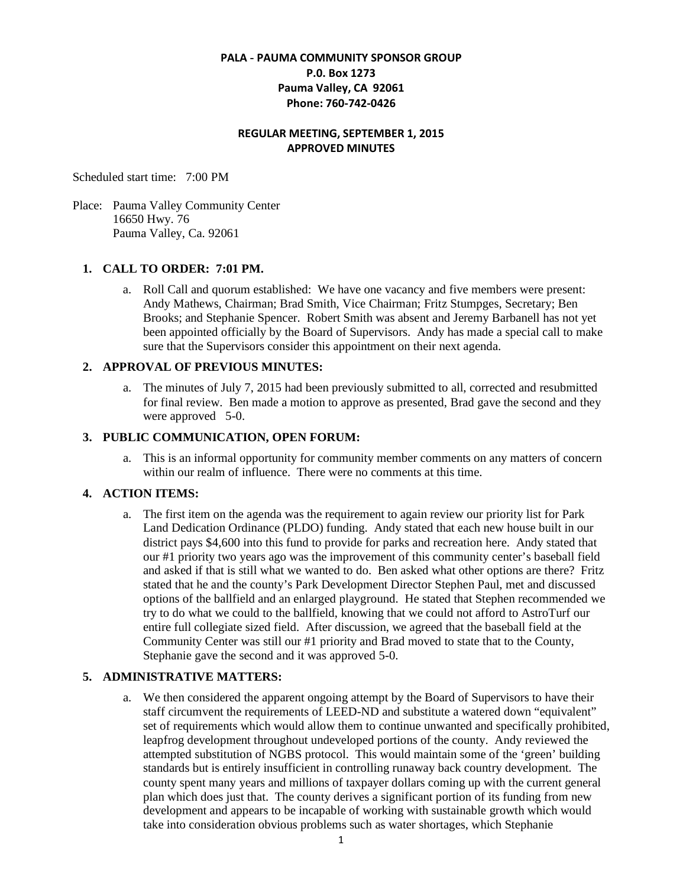# **PALA - PAUMA COMMUNITY SPONSOR GROUP P.0. Box 1273 Pauma Valley, CA 92061 Phone: 760-742-0426**

## **REGULAR MEETING, SEPTEMBER 1, 2015 APPROVED MINUTES**

Scheduled start time: 7:00 PM

Place: Pauma Valley Community Center 16650 Hwy. 76 Pauma Valley, Ca. 92061

## **1. CALL TO ORDER: 7:01 PM.**

a. Roll Call and quorum established: We have one vacancy and five members were present: Andy Mathews, Chairman; Brad Smith, Vice Chairman; Fritz Stumpges, Secretary; Ben Brooks; and Stephanie Spencer. Robert Smith was absent and Jeremy Barbanell has not yet been appointed officially by the Board of Supervisors. Andy has made a special call to make sure that the Supervisors consider this appointment on their next agenda.

# **2. APPROVAL OF PREVIOUS MINUTES:**

a. The minutes of July 7, 2015 had been previously submitted to all, corrected and resubmitted for final review. Ben made a motion to approve as presented, Brad gave the second and they were approved 5-0.

### **3. PUBLIC COMMUNICATION, OPEN FORUM:**

a. This is an informal opportunity for community member comments on any matters of concern within our realm of influence. There were no comments at this time.

## **4. ACTION ITEMS:**

a. The first item on the agenda was the requirement to again review our priority list for Park Land Dedication Ordinance (PLDO) funding. Andy stated that each new house built in our district pays \$4,600 into this fund to provide for parks and recreation here. Andy stated that our #1 priority two years ago was the improvement of this community center's baseball field and asked if that is still what we wanted to do. Ben asked what other options are there? Fritz stated that he and the county's Park Development Director Stephen Paul, met and discussed options of the ballfield and an enlarged playground. He stated that Stephen recommended we try to do what we could to the ballfield, knowing that we could not afford to AstroTurf our entire full collegiate sized field. After discussion, we agreed that the baseball field at the Community Center was still our #1 priority and Brad moved to state that to the County, Stephanie gave the second and it was approved 5-0.

## **5. ADMINISTRATIVE MATTERS:**

a. We then considered the apparent ongoing attempt by the Board of Supervisors to have their staff circumvent the requirements of LEED-ND and substitute a watered down "equivalent" set of requirements which would allow them to continue unwanted and specifically prohibited, leapfrog development throughout undeveloped portions of the county. Andy reviewed the attempted substitution of NGBS protocol. This would maintain some of the 'green' building standards but is entirely insufficient in controlling runaway back country development. The county spent many years and millions of taxpayer dollars coming up with the current general plan which does just that. The county derives a significant portion of its funding from new development and appears to be incapable of working with sustainable growth which would take into consideration obvious problems such as water shortages, which Stephanie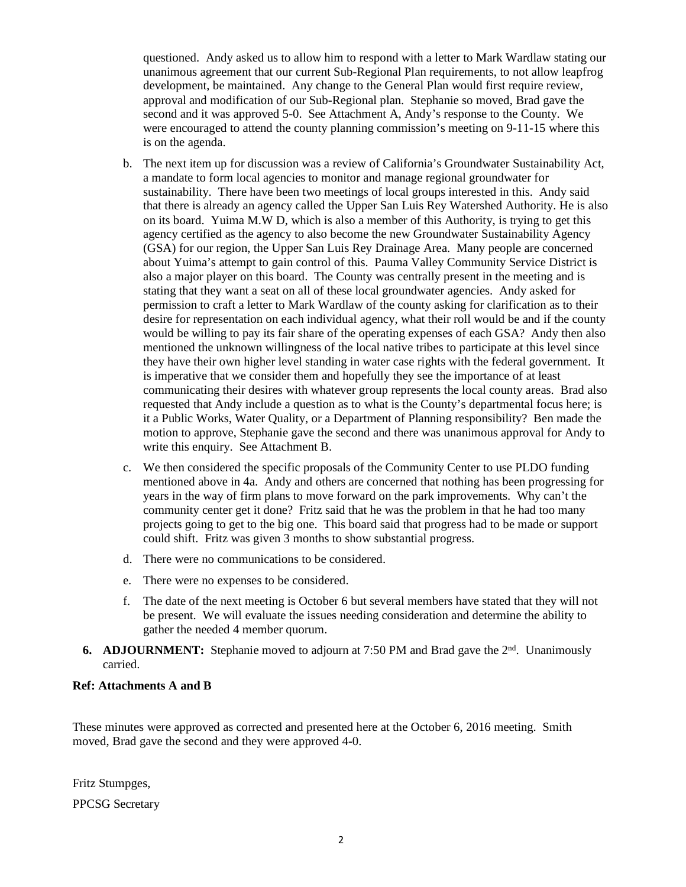questioned. Andy asked us to allow him to respond with a letter to Mark Wardlaw stating our unanimous agreement that our current Sub-Regional Plan requirements, to not allow leapfrog development, be maintained. Any change to the General Plan would first require review, approval and modification of our Sub-Regional plan. Stephanie so moved, Brad gave the second and it was approved 5-0. See Attachment A, Andy's response to the County. We were encouraged to attend the county planning commission's meeting on 9-11-15 where this is on the agenda.

- b. The next item up for discussion was a review of California's Groundwater Sustainability Act, a mandate to form local agencies to monitor and manage regional groundwater for sustainability. There have been two meetings of local groups interested in this. Andy said that there is already an agency called the Upper San Luis Rey Watershed Authority. He is also on its board. Yuima M.W D, which is also a member of this Authority, is trying to get this agency certified as the agency to also become the new Groundwater Sustainability Agency (GSA) for our region, the Upper San Luis Rey Drainage Area. Many people are concerned about Yuima's attempt to gain control of this. Pauma Valley Community Service District is also a major player on this board. The County was centrally present in the meeting and is stating that they want a seat on all of these local groundwater agencies. Andy asked for permission to craft a letter to Mark Wardlaw of the county asking for clarification as to their desire for representation on each individual agency, what their roll would be and if the county would be willing to pay its fair share of the operating expenses of each GSA? Andy then also mentioned the unknown willingness of the local native tribes to participate at this level since they have their own higher level standing in water case rights with the federal government. It is imperative that we consider them and hopefully they see the importance of at least communicating their desires with whatever group represents the local county areas. Brad also requested that Andy include a question as to what is the County's departmental focus here; is it a Public Works, Water Quality, or a Department of Planning responsibility? Ben made the motion to approve, Stephanie gave the second and there was unanimous approval for Andy to write this enquiry. See Attachment B.
- c. We then considered the specific proposals of the Community Center to use PLDO funding mentioned above in 4a. Andy and others are concerned that nothing has been progressing for years in the way of firm plans to move forward on the park improvements. Why can't the community center get it done? Fritz said that he was the problem in that he had too many projects going to get to the big one. This board said that progress had to be made or support could shift. Fritz was given 3 months to show substantial progress.
- d. There were no communications to be considered.
- e. There were no expenses to be considered.
- f. The date of the next meeting is October 6 but several members have stated that they will not be present. We will evaluate the issues needing consideration and determine the ability to gather the needed 4 member quorum.
- **6. ADJOURNMENT:** Stephanie moved to adjourn at 7:50 PM and Brad gave the 2<sup>nd</sup>. Unanimously carried.

#### **Ref: Attachments A and B**

These minutes were approved as corrected and presented here at the October 6, 2016 meeting. Smith moved, Brad gave the second and they were approved 4-0.

Fritz Stumpges, PPCSG Secretary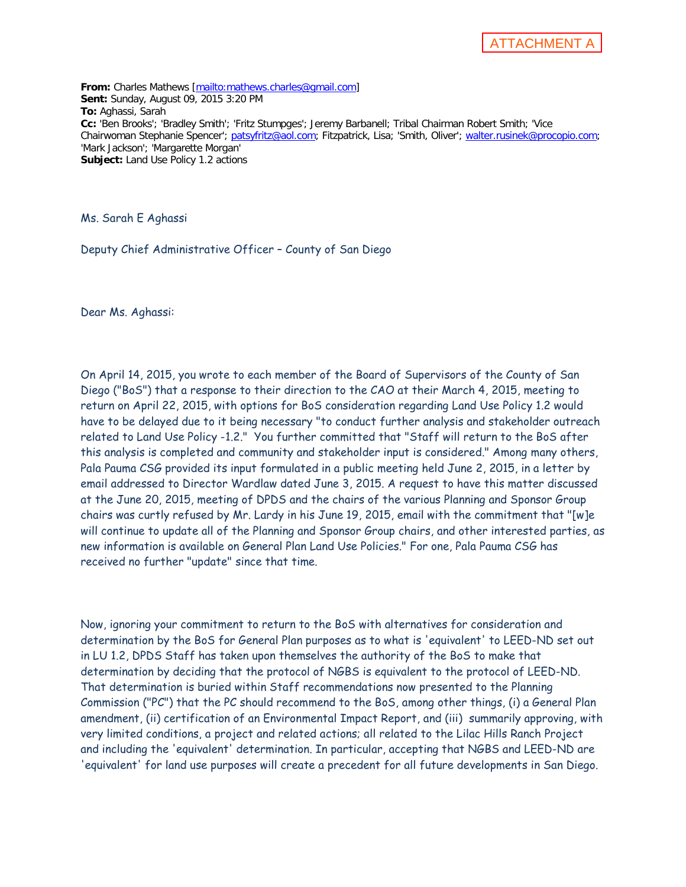ATTACHMENT A

**From:** Charles Mathews [\[mailto:mathews.charles@gmail.com\]](mailto:mathews.charles@gmail.com) **Sent:** Sunday, August 09, 2015 3:20 PM **To:** Aghassi, Sarah **Cc:** 'Ben Brooks'; 'Bradley Smith'; 'Fritz Stumpges'; Jeremy Barbanell; Tribal Chairman Robert Smith; 'Vice Chairwoman Stephanie Spencer'; [patsyfritz@aol.com;](mailto:patsyfritz@aol.com) Fitzpatrick, Lisa; 'Smith, Oliver'; [walter.rusinek@procopio.com;](mailto:walter.rusinek@procopio.com) 'Mark Jackson'; 'Margarette Morgan' **Subject:** Land Use Policy 1.2 actions

Ms. Sarah E Aghassi

Deputy Chief Administrative Officer – County of San Diego

Dear Ms. Aghassi:

On April 14, 2015, you wrote to each member of the Board of Supervisors of the County of San Diego ("BoS") that a response to their direction to the CAO at their March 4, 2015, meeting to return on April 22, 2015, with options for BoS consideration regarding Land Use Policy 1.2 would have to be delayed due to it being necessary "to conduct further analysis and stakeholder outreach related to Land Use Policy -1.2." You further committed that "Staff will return to the BoS after this analysis is completed and community and stakeholder input is considered." Among many others, Pala Pauma CSG provided its input formulated in a public meeting held June 2, 2015, in a letter by email addressed to Director Wardlaw dated June 3, 2015. A request to have this matter discussed at the June 20, 2015, meeting of DPDS and the chairs of the various Planning and Sponsor Group chairs was curtly refused by Mr. Lardy in his June 19, 2015, email with the commitment that "[w]e will continue to update all of the Planning and Sponsor Group chairs, and other interested parties, as new information is available on General Plan Land Use Policies." For one, Pala Pauma CSG has received no further "update" since that time.

Now, ignoring your commitment to return to the BoS with alternatives for consideration and determination by the BoS for General Plan purposes as to what is 'equivalent' to LEED-ND set out in LU 1.2, DPDS Staff has taken upon themselves the authority of the BoS to make that determination by deciding that the protocol of NGBS is equivalent to the protocol of LEED-ND. That determination is buried within Staff recommendations now presented to the Planning Commission ("PC") that the PC should recommend to the BoS, among other things, (i) a General Plan amendment, (ii) certification of an Environmental Impact Report, and (iii) summarily approving, with very limited conditions, a project and related actions; all related to the Lilac Hills Ranch Project and including the 'equivalent' determination. In particular, accepting that NGBS and LEED-ND are 'equivalent' for land use purposes will create a precedent for all future developments in San Diego.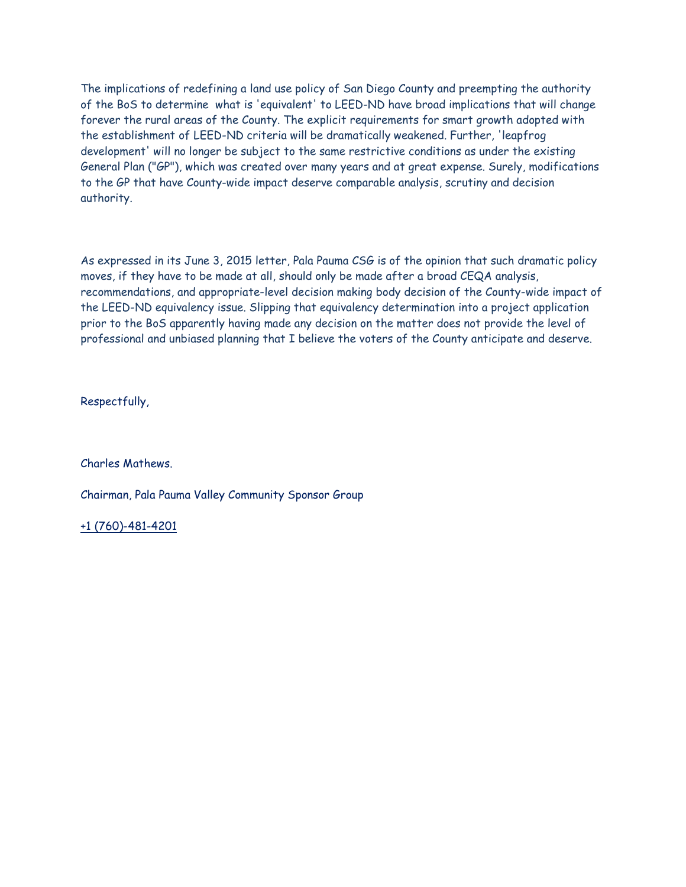The implications of redefining a land use policy of San Diego County and preempting the authority of the BoS to determine what is 'equivalent' to LEED-ND have broad implications that will change forever the rural areas of the County. The explicit requirements for smart growth adopted with the establishment of LEED-ND criteria will be dramatically weakened. Further, 'leapfrog development' will no longer be subject to the same restrictive conditions as under the existing General Plan ("GP"), which was created over many years and at great expense. Surely, modifications to the GP that have County-wide impact deserve comparable analysis, scrutiny and decision authority.

As expressed in its June 3, 2015 letter, Pala Pauma CSG is of the opinion that such dramatic policy moves, if they have to be made at all, should only be made after a broad CEQA analysis, recommendations, and appropriate-level decision making body decision of the County-wide impact of the LEED-ND equivalency issue. Slipping that equivalency determination into a project application prior to the BoS apparently having made any decision on the matter does not provide the level of professional and unbiased planning that I believe the voters of the County anticipate and deserve.

Respectfully,

Charles Mathews.

Chairman, Pala Pauma Valley Community Sponsor Group

[+1 \(760\)-481-4201](tel:%2B1%20%28760%29-481-4201)